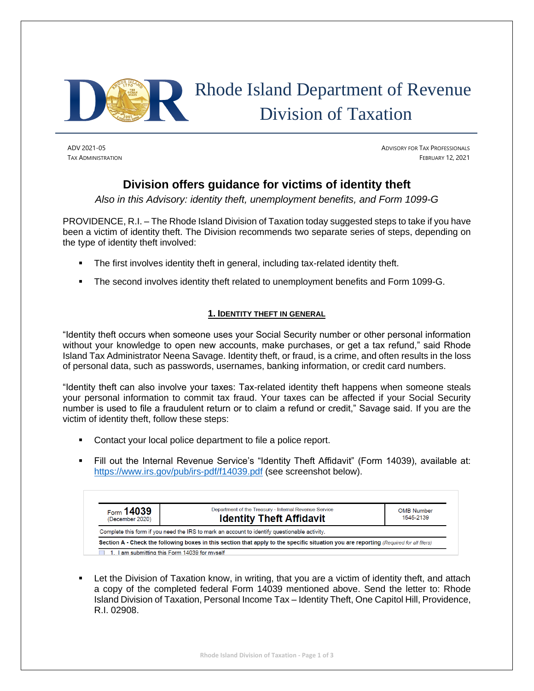

# Rhode Island Department of Revenue Division of Taxation

ADV 2021-05 ADVISORY FOR TAX PROFESSIONALS **TAX ADMINISTRATION** FEBRUARY 12, 2021

## **Division offers guidance for victims of identity theft**

*Also in this Advisory: identity theft, unemployment benefits, and Form 1099-G*

PROVIDENCE, R.I. – The Rhode Island Division of Taxation today suggested steps to take if you have been a victim of identity theft. The Division recommends two separate series of steps, depending on the type of identity theft involved:

- The first involves identity theft in general, including tax-related identity theft.
- The second involves identity theft related to unemployment benefits and Form 1099-G.

#### **1. IDENTITY THEFT IN GENERAL**

"Identity theft occurs when someone uses your Social Security number or other personal information without your knowledge to open new accounts, make purchases, or get a tax refund," said Rhode Island Tax Administrator Neena Savage. Identity theft, or fraud, is a crime, and often results in the loss of personal data, such as passwords, usernames, banking information, or credit card numbers.

"Identity theft can also involve your taxes: Tax-related identity theft happens when someone steals your personal information to commit tax fraud. Your taxes can be affected if your Social Security number is used to file a fraudulent return or to claim a refund or credit," Savage said. If you are the victim of identity theft, follow these steps:

- Contact your local police department to file a police report.
- Fill out the Internal Revenue Service's "Identity Theft Affidavit" (Form 14039), available at: <https://www.irs.gov/pub/irs-pdf/f14039.pdf> (see screenshot below).

| Form $14039$<br>(December 2020) | Department of the Treasury - Internal Revenue Service<br><b>Identity Theft Affidavit</b>                                               | <b>OMB Number</b><br>1545-2139 |
|---------------------------------|----------------------------------------------------------------------------------------------------------------------------------------|--------------------------------|
|                                 | Complete this form if you need the IRS to mark an account to identify questionable activity.                                           |                                |
|                                 | Section A - Check the following boxes in this section that apply to the specific situation you are reporting (Required for all filers) |                                |

Let the Division of Taxation know, in writing, that you are a victim of identity theft, and attach a copy of the completed federal Form 14039 mentioned above. Send the letter to: Rhode Island Division of Taxation, Personal Income Tax – Identity Theft, One Capitol Hill, Providence, R.I. 02908.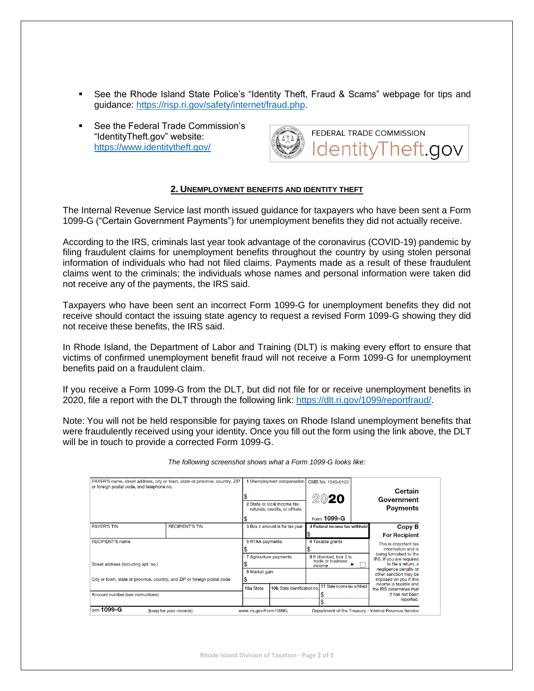- See the Rhode Island State Police's "Identity Theft, Fraud & Scams" webpage for tips and guidance: [https://risp.ri.gov/safety/internet/fraud.php.](https://risp.ri.gov/safety/internet/fraud.php)
- See the Federal Trade Commission's "IdentityTheft.gov" website: <https://www.identitytheft.gov/>



#### **2. UNEMPLOYMENT BENEFITS AND IDENTITY THEFT**

The Internal Revenue Service last month issued guidance for taxpayers who have been sent a Form 1099-G ("Certain Government Payments") for unemployment benefits they did not actually receive.

According to the IRS, criminals last year took advantage of the coronavirus (COVID-19) pandemic by filing fraudulent claims for unemployment benefits throughout the country by using stolen personal information of individuals who had not filed claims. Payments made as a result of these fraudulent claims went to the criminals; the individuals whose names and personal information were taken did not receive any of the payments, the IRS said.

Taxpayers who have been sent an incorrect Form 1099-G for unemployment benefits they did not receive should contact the issuing state agency to request a revised Form 1099-G showing they did not receive these benefits, the IRS said.

In Rhode Island, the Department of Labor and Training (DLT) is making every effort to ensure that victims of confirmed unemployment benefit fraud will not receive a Form 1099-G for unemployment benefits paid on a fraudulent claim.

If you receive a Form 1099-G from the DLT, but did not file for or receive unemployment benefits in 2020, file a report with the DLT through the following link: [https://dlt.ri.gov/1099/reportfraud/.](https://dlt.ri.gov/1099/reportfraud/)

Note: You will not be held responsible for paying taxes on Rhode Island unemployment benefits that were fraudulently received using your identity. Once you fill out the form using the link above, the DLT will be in touch to provide a corrected Form 1099-G.

| PAYER'S name, street address, city or town, state or province, country, ZIP<br>or foreign postal code, and telephone no.                             |                                                          |                         |                                         | 1 Unemployment compensation<br>2 State or local income tax<br>refunds, credits, or offsets |                  |                                                       | OMB No. 1545-0120<br>2020 |                                             | Certain<br>Government<br><b>Payments</b>                                                                                                              |
|------------------------------------------------------------------------------------------------------------------------------------------------------|----------------------------------------------------------|-------------------------|-----------------------------------------|--------------------------------------------------------------------------------------------|------------------|-------------------------------------------------------|---------------------------|---------------------------------------------|-------------------------------------------------------------------------------------------------------------------------------------------------------|
|                                                                                                                                                      |                                                          |                         |                                         |                                                                                            | Form 1099-G      |                                                       |                           |                                             |                                                                                                                                                       |
| <b>PAYER'S TIN</b>                                                                                                                                   | <b>RECIPIENT'S TIN</b><br>3 Box 2 amount is for tax year |                         |                                         | 4 Federal income tax withheld                                                              |                  |                                                       | <b>Copy B</b>             |                                             |                                                                                                                                                       |
|                                                                                                                                                      |                                                          |                         |                                         |                                                                                            |                  |                                                       |                           |                                             | <b>For Recipient</b>                                                                                                                                  |
| <b>RECIPIENT'S name</b>                                                                                                                              |                                                          | <b>5 RTAA payments</b>  |                                         |                                                                                            | 6 Taxable grants |                                                       |                           | This is important tax<br>information and is |                                                                                                                                                       |
| Street address (including apt. no.)<br>City or town, state or province, country, and ZIP or foreign postal code<br>Account number (see instructions) |                                                          |                         | 7 Agriculture payments<br>9 Market gain |                                                                                            |                  | 8 If checked, box 2 is<br>trade or business<br>income |                           |                                             | being furnished to the<br>IRS. If you are required<br>to file a return, a<br>negligence penalty or<br>other sanction may be<br>imposed on you if this |
|                                                                                                                                                      |                                                          |                         |                                         |                                                                                            |                  |                                                       |                           |                                             |                                                                                                                                                       |
|                                                                                                                                                      |                                                          |                         |                                         |                                                                                            |                  |                                                       |                           |                                             |                                                                                                                                                       |
| $=_{\text{orm}}$ 1099-G                                                                                                                              |                                                          | (keep for your records) |                                         | www.irs.gov/Form1099G                                                                      |                  |                                                       |                           |                                             | Department of the Treasury - Internal Revenue Service                                                                                                 |

*The following screenshot shows what a Form 1099-G looks like:*